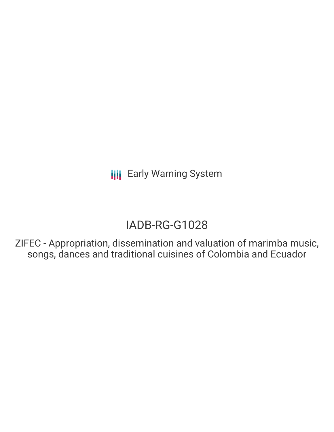# IADB-RG-G1028

ZIFEC - Appropriation, dissemination and valuation of marimba music, songs, dances and traditional cuisines of Colombia and Ecuador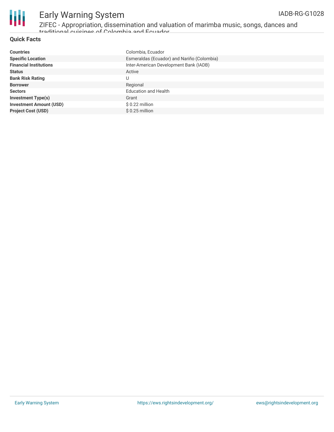

ZIFEC - Appropriation, dissemination and valuation of marimba music, songs, dances and traditional cuisines of Colombia and Ecuador

#### **Quick Facts**

| <b>Countries</b>               | Colombia, Ecuador                          |
|--------------------------------|--------------------------------------------|
| <b>Specific Location</b>       | Esmeraldas (Ecuador) and Nariño (Colombia) |
| <b>Financial Institutions</b>  | Inter-American Development Bank (IADB)     |
| <b>Status</b>                  | Active                                     |
| <b>Bank Risk Rating</b>        | U                                          |
| <b>Borrower</b>                | Regional                                   |
| <b>Sectors</b>                 | <b>Education and Health</b>                |
| <b>Investment Type(s)</b>      | Grant                                      |
| <b>Investment Amount (USD)</b> | $$0.22$ million                            |
| <b>Project Cost (USD)</b>      | $$0.25$ million                            |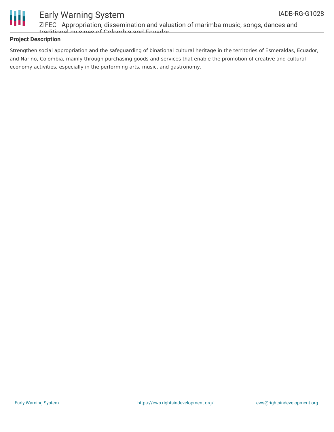

ZIFEC - Appropriation, dissemination and valuation of marimba music, songs, dances and traditional cuisines of Colombia and Ecuador

### **Project Description**

Strengthen social appropriation and the safeguarding of binational cultural heritage in the territories of Esmeraldas, Ecuador, and Narino, Colombia, mainly through purchasing goods and services that enable the promotion of creative and cultural economy activities, especially in the performing arts, music, and gastronomy.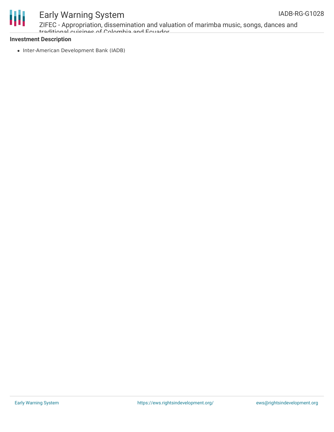

ZIFEC - Appropriation, dissemination and valuation of marimba music, songs, dances and traditional cuisines of Colombia and Ecuador

#### **Investment Description**

• Inter-American Development Bank (IADB)